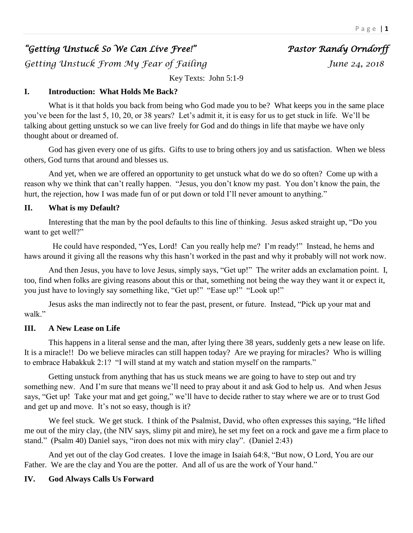# *"Getting Unstuck So We Can Live Free!" Pastor Randy Orndorff*

*Getting Unstuck From My Fear of Failing June 24, 2018* 

Key Texts: John 5:1-9

# **I. Introduction: What Holds Me Back?**

What is it that holds you back from being who God made you to be? What keeps you in the same place you've been for the last 5, 10, 20, or 38 years? Let's admit it, it is easy for us to get stuck in life. We'll be talking about getting unstuck so we can live freely for God and do things in life that maybe we have only thought about or dreamed of.

God has given every one of us gifts. Gifts to use to bring others joy and us satisfaction. When we bless others, God turns that around and blesses us.

And yet, when we are offered an opportunity to get unstuck what do we do so often? Come up with a reason why we think that can't really happen. "Jesus, you don't know my past. You don't know the pain, the hurt, the rejection, how I was made fun of or put down or told I'll never amount to anything."

# **II. What is my Default?**

Interesting that the man by the pool defaults to this line of thinking. Jesus asked straight up, "Do you want to get well?"

 He could have responded, "Yes, Lord! Can you really help me? I'm ready!" Instead, he hems and haws around it giving all the reasons why this hasn't worked in the past and why it probably will not work now.

And then Jesus, you have to love Jesus, simply says, "Get up!" The writer adds an exclamation point. I, too, find when folks are giving reasons about this or that, something not being the way they want it or expect it, you just have to lovingly say something like, "Get up!" "Ease up!" "Look up!"

Jesus asks the man indirectly not to fear the past, present, or future. Instead, "Pick up your mat and walk."

# **III. A New Lease on Life**

This happens in a literal sense and the man, after lying there 38 years, suddenly gets a new lease on life. It is a miracle!! Do we believe miracles can still happen today? Are we praying for miracles? Who is willing to embrace Habakkuk 2:1? "I will stand at my watch and station myself on the ramparts."

Getting unstuck from anything that has us stuck means we are going to have to step out and try something new. And I'm sure that means we'll need to pray about it and ask God to help us. And when Jesus says, "Get up! Take your mat and get going," we'll have to decide rather to stay where we are or to trust God and get up and move. It's not so easy, though is it?

We feel stuck. We get stuck. I think of the Psalmist, David, who often expresses this saying, "He lifted me out of the miry clay, (the NIV says, slimy pit and mire), he set my feet on a rock and gave me a firm place to stand." (Psalm 40) Daniel says, "iron does not mix with miry clay". (Daniel 2:43)

And yet out of the clay God creates. I love the image in Isaiah 64:8, "But now, O Lord, You are our Father. We are the clay and You are the potter. And all of us are the work of Your hand."

# **IV. God Always Calls Us Forward**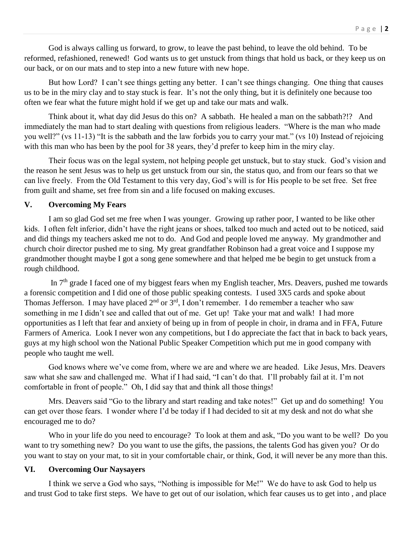God is always calling us forward, to grow, to leave the past behind, to leave the old behind. To be reformed, refashioned, renewed! God wants us to get unstuck from things that hold us back, or they keep us on our back, or on our mats and to step into a new future with new hope.

But how Lord? I can't see things getting any better. I can't see things changing. One thing that causes us to be in the miry clay and to stay stuck is fear. It's not the only thing, but it is definitely one because too often we fear what the future might hold if we get up and take our mats and walk.

Think about it, what day did Jesus do this on? A sabbath. He healed a man on the sabbath?!? And immediately the man had to start dealing with questions from religious leaders. "Where is the man who made you well?" (vs 11-13) "It is the sabbath and the law forbids you to carry your mat." (vs 10) Instead of rejoicing with this man who has been by the pool for 38 years, they'd prefer to keep him in the miry clay.

Their focus was on the legal system, not helping people get unstuck, but to stay stuck. God's vision and the reason he sent Jesus was to help us get unstuck from our sin, the status quo, and from our fears so that we can live freely. From the Old Testament to this very day, God's will is for His people to be set free. Set free from guilt and shame, set free from sin and a life focused on making excuses.

#### **V. Overcoming My Fears**

I am so glad God set me free when I was younger. Growing up rather poor, I wanted to be like other kids. I often felt inferior, didn't have the right jeans or shoes, talked too much and acted out to be noticed, said and did things my teachers asked me not to do. And God and people loved me anyway. My grandmother and church choir director pushed me to sing. My great grandfather Robinson had a great voice and I suppose my grandmother thought maybe I got a song gene somewhere and that helped me be begin to get unstuck from a rough childhood.

In 7<sup>th</sup> grade I faced one of my biggest fears when my English teacher, Mrs. Deavers, pushed me towards a forensic competition and I did one of those public speaking contests. I used 3X5 cards and spoke about Thomas Jefferson. I may have placed  $2<sup>nd</sup>$  or  $3<sup>rd</sup>$ , I don't remember. I do remember a teacher who saw something in me I didn't see and called that out of me. Get up! Take your mat and walk! I had more opportunities as I left that fear and anxiety of being up in from of people in choir, in drama and in FFA, Future Farmers of America. Look I never won any competitions, but I do appreciate the fact that in back to back years, guys at my high school won the National Public Speaker Competition which put me in good company with people who taught me well.

God knows where we've come from, where we are and where we are headed. Like Jesus, Mrs. Deavers saw what she saw and challenged me. What if I had said, "I can't do that. I'll probably fail at it. I'm not comfortable in front of people." Oh, I did say that and think all those things!

Mrs. Deavers said "Go to the library and start reading and take notes!" Get up and do something! You can get over those fears. I wonder where I'd be today if I had decided to sit at my desk and not do what she encouraged me to do?

Who in your life do you need to encourage? To look at them and ask, "Do you want to be well? Do you want to try something new? Do you want to use the gifts, the passions, the talents God has given you? Or do you want to stay on your mat, to sit in your comfortable chair, or think, God, it will never be any more than this.

#### **VI. Overcoming Our Naysayers**

I think we serve a God who says, "Nothing is impossible for Me!" We do have to ask God to help us and trust God to take first steps. We have to get out of our isolation, which fear causes us to get into , and place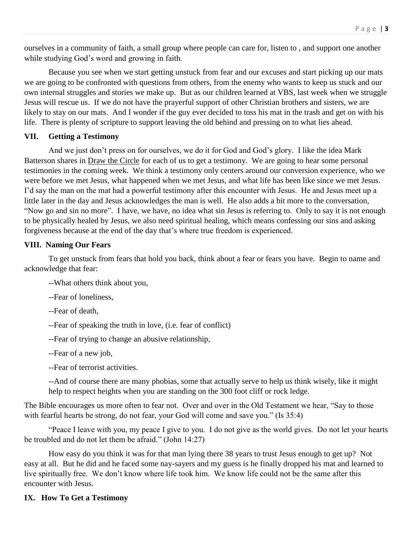ourselves in a community of faith, a small group where people can care for, listen to , and support one another while studying God's word and growing in faith.

Because you see when we start getting unstuck from fear and our excuses and start picking up our mats we are going to be confronted with questions from others, from the enemy who wants to keep us stuck and our own internal struggles and stories we make up. But as our children learned at VBS, last week when we struggle Jesus will rescue us. If we do not have the prayerful support of other Christian brothers and sisters, we are likely to stay on our mats. And I wonder if the guy ever decided to toss his mat in the trash and get on with his life. There is plenty of scripture to support leaving the old behind and pressing on to what lies ahead.

### **VII. Getting a Testimony**

And we just don't press on for ourselves, we do it for God and God's glory. I like the idea Mark Batterson shares in Draw the Circle for each of us to get a testimony. We are going to hear some personal testimonies in the coming week. We think a testimony only centers around our conversion experience, who we were before we met Jesus, what happened when we met Jesus, and what life has been like since we met Jesus. I'd say the man on the mat had a powerful testimony after this encounter with Jesus. He and Jesus meet up a little later in the day and Jesus acknowledges the man is well. He also adds a bit more to the conversation, "Now go and sin no more". I have, we have, no idea what sin Jesus is referring to. Only to say it is not enough to be physically healed by Jesus, we also need spiritual healing, which means confessing our sins and asking forgiveness because at the end of the day that's where true freedom is experienced.

### **VIII. Naming Our Fears**

To get unstuck from fears that hold you back, think about a fear or fears you have. Begin to name and acknowledge that fear:

--What others think about you,

--Fear of loneliness,

--Fear of death,

--Fear of speaking the truth in love, (i.e. fear of conflict)

--Fear of trying to change an abusive relationship,

--Fear of a new job,

--Fear of terrorist activities.

--And of course there are many phobias, some that actually serve to help us think wisely, like it might help to respect heights when you are standing on the 300 foot cliff or rock ledge.

The Bible encourages us more often to fear not. Over and over in the Old Testament we hear, "Say to those with fearful hearts be strong, do not fear, your God will come and save you." (Is 35:4)

"Peace I leave with you, my peace I give to you. I do not give as the world gives. Do not let your hearts be troubled and do not let them be afraid." (John 14:27)

How easy do you think it was for that man lying there 38 years to trust Jesus enough to get up? Not easy at all. But he did and he faced some nay-sayers and my guess is he finally dropped his mat and learned to live spiritually free. We don't know where life took him. We know life could not be the same after this encounter with Jesus.

# **IX. How To Get a Testimony**